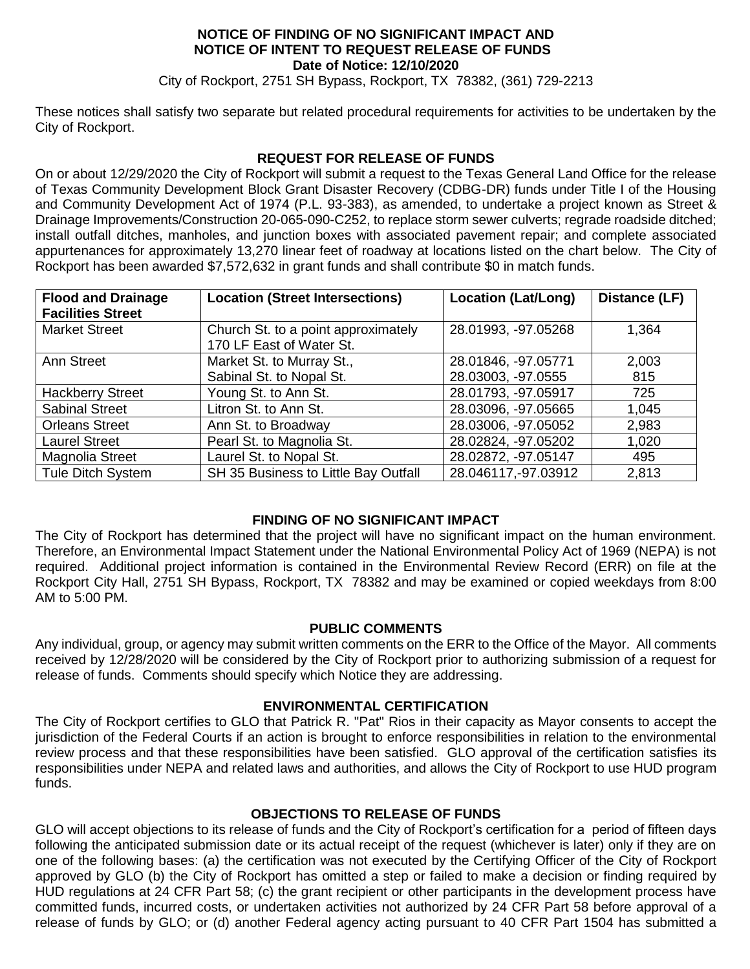#### **NOTICE OF FINDING OF NO SIGNIFICANT IMPACT AND NOTICE OF INTENT TO REQUEST RELEASE OF FUNDS Date of Notice: 12/10/2020**

City of Rockport, 2751 SH Bypass, Rockport, TX 78382, (361) 729-2213

These notices shall satisfy two separate but related procedural requirements for activities to be undertaken by the City of Rockport.

### **REQUEST FOR RELEASE OF FUNDS**

On or about 12/29/2020 the City of Rockport will submit a request to the Texas General Land Office for the release of Texas Community Development Block Grant Disaster Recovery (CDBG-DR) funds under Title I of the Housing and Community Development Act of 1974 (P.L. 93-383), as amended, to undertake a project known as Street & Drainage Improvements/Construction 20-065-090-C252, to replace storm sewer culverts; regrade roadside ditched; install outfall ditches, manholes, and junction boxes with associated pavement repair; and complete associated appurtenances for approximately 13,270 linear feet of roadway at locations listed on the chart below. The City of Rockport has been awarded \$7,572,632 in grant funds and shall contribute \$0 in match funds.

| <b>Flood and Drainage</b><br><b>Facilities Street</b> | <b>Location (Street Intersections)</b>                          | <b>Location (Lat/Long)</b>                | Distance (LF) |
|-------------------------------------------------------|-----------------------------------------------------------------|-------------------------------------------|---------------|
| <b>Market Street</b>                                  | Church St. to a point approximately<br>170 LF East of Water St. | 28.01993, -97.05268                       | 1,364         |
| <b>Ann Street</b>                                     | Market St. to Murray St.,<br>Sabinal St. to Nopal St.           | 28.01846, -97.05771<br>28.03003, -97.0555 | 2,003<br>815  |
| <b>Hackberry Street</b>                               | Young St. to Ann St.                                            | 28.01793, -97.05917                       | 725           |
| <b>Sabinal Street</b>                                 | Litron St. to Ann St.                                           | 28.03096, -97.05665                       | 1,045         |
| <b>Orleans Street</b>                                 | Ann St. to Broadway                                             | 28.03006, -97.05052                       | 2,983         |
| <b>Laurel Street</b>                                  | Pearl St. to Magnolia St.                                       | 28.02824, -97.05202                       | 1,020         |
| Magnolia Street                                       | Laurel St. to Nopal St.                                         | 28.02872, -97.05147                       | 495           |
| <b>Tule Ditch System</b>                              | SH 35 Business to Little Bay Outfall                            | 28.046117, -97.03912                      | 2,813         |

## **FINDING OF NO SIGNIFICANT IMPACT**

The City of Rockport has determined that the project will have no significant impact on the human environment. Therefore, an Environmental Impact Statement under the National Environmental Policy Act of 1969 (NEPA) is not required. Additional project information is contained in the Environmental Review Record (ERR) on file at the Rockport City Hall, 2751 SH Bypass, Rockport, TX 78382 and may be examined or copied weekdays from 8:00 AM to 5:00 PM.

## **PUBLIC COMMENTS**

Any individual, group, or agency may submit written comments on the ERR to the Office of the Mayor. All comments received by 12/28/2020 will be considered by the City of Rockport prior to authorizing submission of a request for release of funds. Comments should specify which Notice they are addressing.

## **ENVIRONMENTAL CERTIFICATION**

The City of Rockport certifies to GLO that Patrick R. "Pat" Rios in their capacity as Mayor consents to accept the jurisdiction of the Federal Courts if an action is brought to enforce responsibilities in relation to the environmental review process and that these responsibilities have been satisfied. GLO approval of the certification satisfies its responsibilities under NEPA and related laws and authorities, and allows the City of Rockport to use HUD program funds.

## **OBJECTIONS TO RELEASE OF FUNDS**

GLO will accept objections to its release of funds and the City of Rockport's certification for a period of fifteen days following the anticipated submission date or its actual receipt of the request (whichever is later) only if they are on one of the following bases: (a) the certification was not executed by the Certifying Officer of the City of Rockport approved by GLO (b) the City of Rockport has omitted a step or failed to make a decision or finding required by HUD regulations at 24 CFR Part 58; (c) the grant recipient or other participants in the development process have committed funds, incurred costs, or undertaken activities not authorized by 24 CFR Part 58 before approval of a release of funds by GLO; or (d) another Federal agency acting pursuant to 40 CFR Part 1504 has submitted a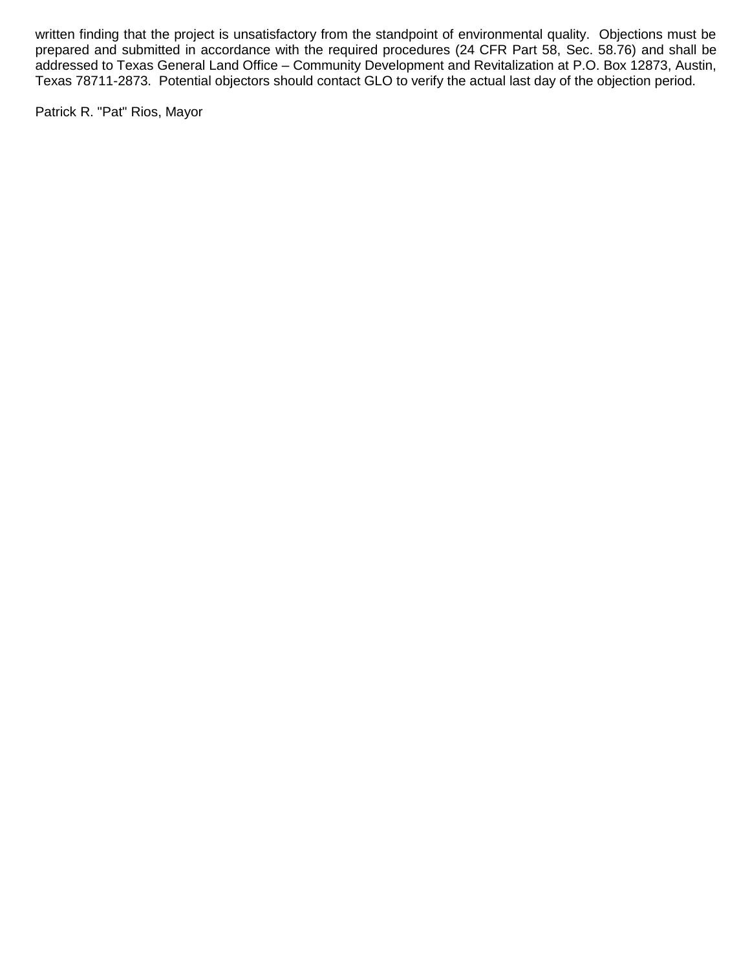written finding that the project is unsatisfactory from the standpoint of environmental quality. Objections must be prepared and submitted in accordance with the required procedures (24 CFR Part 58, Sec. 58.76) and shall be addressed to Texas General Land Office – Community Development and Revitalization at P.O. Box 12873, Austin, Texas 78711-2873. Potential objectors should contact GLO to verify the actual last day of the objection period.

Patrick R. "Pat" Rios, Mayor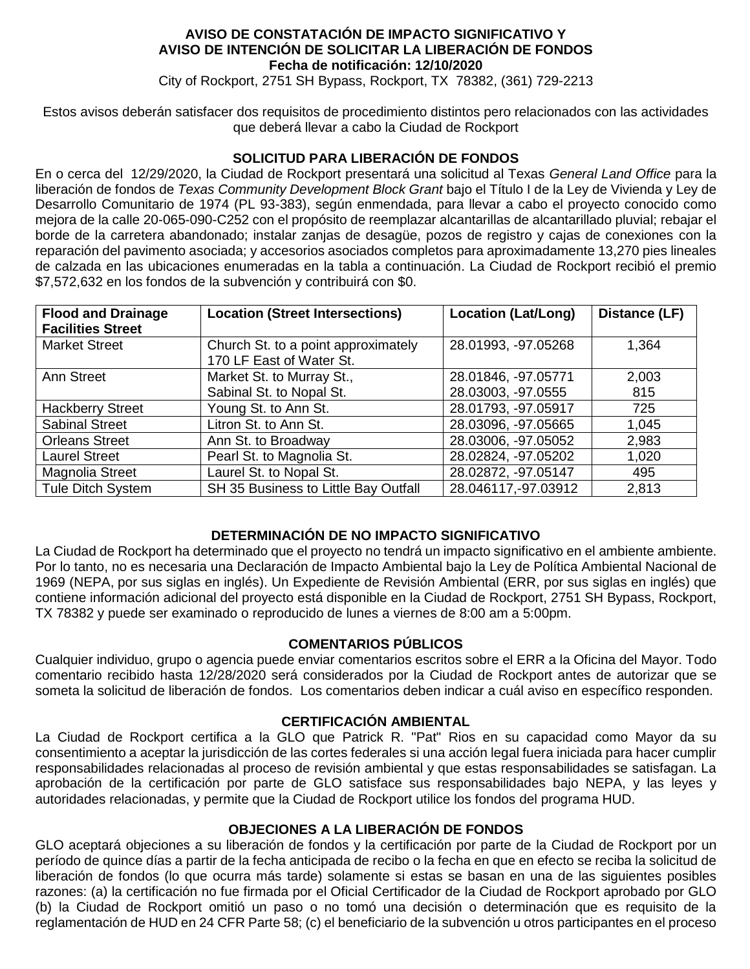#### **AVISO DE CONSTATACIÓN DE IMPACTO SIGNIFICATIVO Y AVISO DE INTENCIÓN DE SOLICITAR LA LIBERACIÓN DE FONDOS Fecha de notificación: 12/10/2020**

City of Rockport, 2751 SH Bypass, Rockport, TX 78382, (361) 729-2213

Estos avisos deberán satisfacer dos requisitos de procedimiento distintos pero relacionados con las actividades que deberá llevar a cabo la Ciudad de Rockport

## **SOLICITUD PARA LIBERACIÓN DE FONDOS**

En o cerca del 12/29/2020, la Ciudad de Rockport presentará una solicitud al Texas *General Land Office* para la liberación de fondos de *Texas Community Development Block Grant* bajo el Título I de la Ley de Vivienda y Ley de Desarrollo Comunitario de 1974 (PL 93-383), según enmendada, para llevar a cabo el proyecto conocido como mejora de la calle 20-065-090-C252 con el propósito de reemplazar alcantarillas de alcantarillado pluvial; rebajar el borde de la carretera abandonado; instalar zanjas de desagüe, pozos de registro y cajas de conexiones con la reparación del pavimento asociada; y accesorios asociados completos para aproximadamente 13,270 pies lineales de calzada en las ubicaciones enumeradas en la tabla a continuación. La Ciudad de Rockport recibió el premio \$7,572,632 en los fondos de la subvención y contribuirá con \$0.

| <b>Flood and Drainage</b><br><b>Facilities Street</b> | <b>Location (Street Intersections)</b> | <b>Location (Lat/Long)</b> | Distance (LF) |
|-------------------------------------------------------|----------------------------------------|----------------------------|---------------|
| <b>Market Street</b>                                  | Church St. to a point approximately    | 28.01993, -97.05268        | 1,364         |
|                                                       | 170 LF East of Water St.               |                            |               |
| Ann Street                                            | Market St. to Murray St.,              | 28.01846, -97.05771        | 2,003         |
|                                                       | Sabinal St. to Nopal St.               | 28.03003, -97.0555         | 815           |
| <b>Hackberry Street</b>                               | Young St. to Ann St.                   | 28.01793, -97.05917        | 725           |
| <b>Sabinal Street</b>                                 | Litron St. to Ann St.                  | 28.03096, -97.05665        | 1,045         |
| <b>Orleans Street</b>                                 | Ann St. to Broadway                    | 28.03006, -97.05052        | 2,983         |
| <b>Laurel Street</b>                                  | Pearl St. to Magnolia St.              | 28.02824, -97.05202        | 1,020         |
| Magnolia Street                                       | Laurel St. to Nopal St.                | 28.02872, -97.05147        | 495           |
| Tule Ditch System                                     | SH 35 Business to Little Bay Outfall   | 28.046117, -97.03912       | 2,813         |

## **DETERMINACIÓN DE NO IMPACTO SIGNIFICATIVO**

La Ciudad de Rockport ha determinado que el proyecto no tendrá un impacto significativo en el ambiente ambiente. Por lo tanto, no es necesaria una Declaración de Impacto Ambiental bajo la Ley de Política Ambiental Nacional de 1969 (NEPA, por sus siglas en inglés). Un Expediente de Revisión Ambiental (ERR, por sus siglas en inglés) que contiene información adicional del proyecto está disponible en la Ciudad de Rockport, 2751 SH Bypass, Rockport, TX 78382 y puede ser examinado o reproducido de lunes a viernes de 8:00 am a 5:00pm.

# **COMENTARIOS PÚBLICOS**

Cualquier individuo, grupo o agencia puede enviar comentarios escritos sobre el ERR a la Oficina del Mayor. Todo comentario recibido hasta 12/28/2020 será considerados por la Ciudad de Rockport antes de autorizar que se someta la solicitud de liberación de fondos. Los comentarios deben indicar a cuál aviso en específico responden.

## **CERTIFICACIÓN AMBIENTAL**

La Ciudad de Rockport certifica a la GLO que Patrick R. "Pat" Rios en su capacidad como Mayor da su consentimiento a aceptar la jurisdicción de las cortes federales si una acción legal fuera iniciada para hacer cumplir responsabilidades relacionadas al proceso de revisión ambiental y que estas responsabilidades se satisfagan. La aprobación de la certificación por parte de GLO satisface sus responsabilidades bajo NEPA, y las leyes y autoridades relacionadas, y permite que la Ciudad de Rockport utilice los fondos del programa HUD.

## **OBJECIONES A LA LIBERACIÓN DE FONDOS**

GLO aceptará objeciones a su liberación de fondos y la certificación por parte de la Ciudad de Rockport por un período de quince días a partir de la fecha anticipada de recibo o la fecha en que en efecto se reciba la solicitud de liberación de fondos (lo que ocurra más tarde) solamente si estas se basan en una de las siguientes posibles razones: (a) la certificación no fue firmada por el Oficial Certificador de la Ciudad de Rockport aprobado por GLO (b) la Ciudad de Rockport omitió un paso o no tomó una decisión o determinación que es requisito de la reglamentación de HUD en 24 CFR Parte 58; (c) el beneficiario de la subvención u otros participantes en el proceso